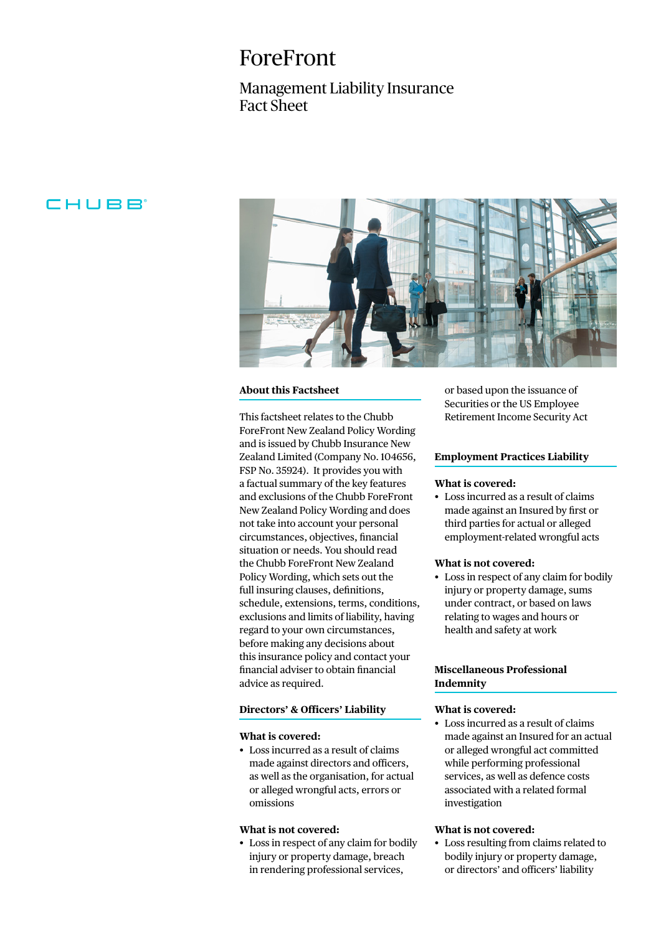# ForeFront

## Management Liability Insurance Fact Sheet

## CHUBB<sup>®</sup>



#### **About this Factsheet**

This factsheet relates to the Chubb ForeFront New Zealand Policy Wording and is issued by Chubb Insurance New Zealand Limited (Company No. 104656, FSP No. 35924). It provides you with a factual summary of the key features and exclusions of the Chubb ForeFront New Zealand Policy Wording and does not take into account your personal circumstances, objectives, financial situation or needs. You should read the Chubb ForeFront New Zealand Policy Wording, which sets out the full insuring clauses, definitions, schedule, extensions, terms, conditions, exclusions and limits of liability, having regard to your own circumstances, before making any decisions about this insurance policy and contact your financial adviser to obtain financial advice as required.

#### **Directors' & Officers' Liability**

#### **What is covered:**

• Loss incurred as a result of claims made against directors and officers, as well as the organisation, for actual or alleged wrongful acts, errors or omissions

#### **What is not covered:**

• Loss in respect of any claim for bodily injury or property damage, breach in rendering professional services,

or based upon the issuance of Securities or the US Employee Retirement Income Security Act

#### **Employment Practices Liability**

#### **What is covered:**

• Loss incurred as a result of claims made against an Insured by first or third parties for actual or alleged employment-related wrongful acts

#### **What is not covered:**

• Loss in respect of any claim for bodily injury or property damage, sums under contract, or based on laws relating to wages and hours or health and safety at work

#### **Miscellaneous Professional Indemnity**

#### **What is covered:**

• Loss incurred as a result of claims made against an Insured for an actual or alleged wrongful act committed while performing professional services, as well as defence costs associated with a related formal investigation

#### **What is not covered:**

• Loss resulting from claims related to bodily injury or property damage, or directors' and officers' liability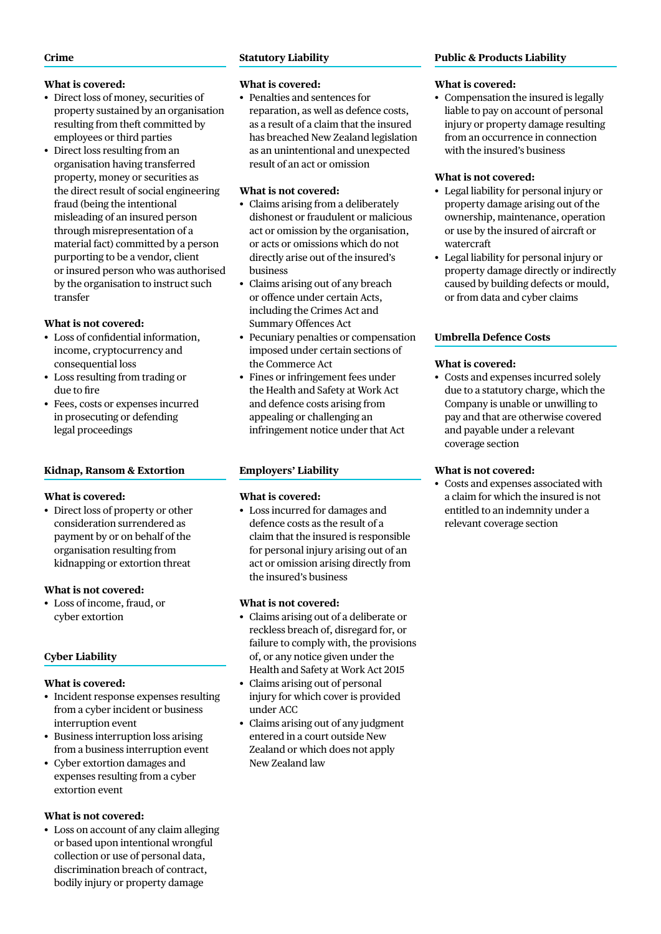#### **Crime**

### **What is covered:**

- Direct loss of money, securities of property sustained by an organisation resulting from theft committed by employees or third parties
- Direct loss resulting from an organisation having transferred property, money or securities as the direct result of social engineering fraud (being the intentional misleading of an insured person through misrepresentation of a material fact) committed by a person purporting to be a vendor, client or insured person who was authorised by the organisation to instruct such transfer

### **What is not covered:**

- Loss of confidential information, income, cryptocurrency and consequential loss
- Loss resulting from trading or due to fire
- Fees, costs or expenses incurred in prosecuting or defending legal proceedings

### **Kidnap, Ransom & Extortion**

#### **What is covered:**

• Direct loss of property or other consideration surrendered as payment by or on behalf of the organisation resulting from kidnapping or extortion threat

#### **What is not covered:**

• Loss of income, fraud, or cyber extortion

### **Cyber Liability**

### **What is covered:**

- Incident response expenses resulting from a cyber incident or business interruption event
- Business interruption loss arising from a business interruption event
- Cyber extortion damages and expenses resulting from a cyber extortion event

#### **What is not covered:**

• Loss on account of any claim alleging or based upon intentional wrongful collection or use of personal data, discrimination breach of contract, bodily injury or property damage

### **Statutory Liability**

### **What is covered:**

• Penalties and sentences for reparation, as well as defence costs, as a result of a claim that the insured has breached New Zealand legislation as an unintentional and unexpected result of an act or omission

### **What is not covered:**

- Claims arising from a deliberately dishonest or fraudulent or malicious act or omission by the organisation, or acts or omissions which do not directly arise out of the insured's business
- Claims arising out of any breach or offence under certain Acts, including the Crimes Act and Summary Offences Act
- Pecuniary penalties or compensation imposed under certain sections of the Commerce Act
- Fines or infringement fees under the Health and Safety at Work Act and defence costs arising from appealing or challenging an infringement notice under that Act

### **Employers' Liability**

### **What is covered:**

• Loss incurred for damages and defence costs as the result of a claim that the insured is responsible for personal injury arising out of an act or omission arising directly from the insured's business

### **What is not covered:**

- Claims arising out of a deliberate or reckless breach of, disregard for, or failure to comply with, the provisions of, or any notice given under the Health and Safety at Work Act 2015
- Claims arising out of personal injury for which cover is provided under ACC
- Claims arising out of any judgment entered in a court outside New Zealand or which does not apply New Zealand law

### **Public & Products Liability**

### **What is covered:**

• Compensation the insured is legally liable to pay on account of personal injury or property damage resulting from an occurrence in connection with the insured's business

### **What is not covered:**

- Legal liability for personal injury or property damage arising out of the ownership, maintenance, operation or use by the insured of aircraft or watercraft
- Legal liability for personal injury or property damage directly or indirectly caused by building defects or mould, or from data and cyber claims

### **Umbrella Defence Costs**

### **What is covered:**

• Costs and expenses incurred solely due to a statutory charge, which the Company is unable or unwilling to pay and that are otherwise covered and payable under a relevant coverage section

### **What is not covered:**

• Costs and expenses associated with a claim for which the insured is not entitled to an indemnity under a relevant coverage section